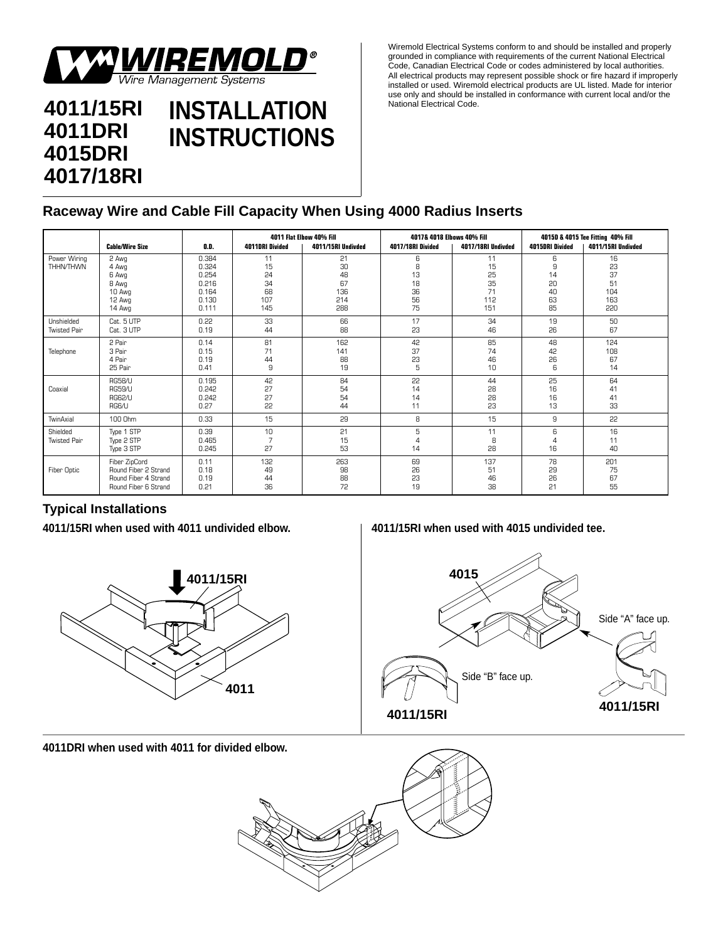

## **4011/15RI 4011DRI 4015DRI 4017/18RI INSTALLATION INSTRUCTIONS**

Wiremold Electrical Systems conform to and should be installed and properly grounded in compliance with requirements of the current National Electrical Code, Canadian Electrical Code or codes administered by local authorities. All electrical products may represent possible shock or fire hazard if improperly installed or used. Wiremold electrical products are UL listed. Made for interior use only and should be installed in conformance with current local and/or the National Electrical Code.

## **Raceway Wire and Cable Fill Capacity When Using 4000 Radius Inserts**

|                                   |                                                                                       |                                                             | 4011 Flat Elbow 40% Fill                 |                                           | 4017& 4018 Elbows 40% Fill           |                                          | 40150 & 4015 Tee Fitting 40% Fill    |                                           |
|-----------------------------------|---------------------------------------------------------------------------------------|-------------------------------------------------------------|------------------------------------------|-------------------------------------------|--------------------------------------|------------------------------------------|--------------------------------------|-------------------------------------------|
|                                   | <b>Cable/Wire Size</b>                                                                | O.D.                                                        | 4011DRI Divided                          | 4011/15RI Undivded                        | 4017/18RI Divided                    | 4017/18RI Undivded                       | 4015DRI Divided                      | 4011/15RI Undivded                        |
| Power Wiring<br><b>THHN/THWN</b>  | 2 Awg<br>4 Awg<br>6 Awg<br>8 Awg<br>10 Awg<br>12 Awg<br>14 Awg                        | 0.384<br>0.324<br>0.254<br>0.216<br>0.164<br>0.130<br>0.111 | 11<br>15<br>24<br>34<br>68<br>107<br>145 | 21<br>30<br>48<br>67<br>136<br>214<br>288 | 6<br>8<br>13<br>18<br>36<br>56<br>75 | 11<br>15<br>25<br>35<br>71<br>112<br>151 | 6<br>9<br>14<br>20<br>40<br>63<br>85 | 16<br>23<br>37<br>51<br>104<br>163<br>220 |
| Unshielded<br><b>Twisted Pair</b> | Cat. 5 UTP<br>Cat. 3 UTP                                                              | 0.22<br>0.19                                                | 33<br>44                                 | 66<br>88                                  | 17<br>23                             | 34<br>46                                 | 19<br>26                             | 50<br>67                                  |
| Telephone                         | 2 Pair<br>3 Pair<br>4 Pair<br>25 Pair                                                 | 0.14<br>0.15<br>0.19<br>0.41                                | 81<br>71<br>44<br>9                      | 162<br>141<br>88<br>19                    | 42<br>37<br>53<br>5                  | 85<br>74<br>46<br>10                     | 48<br>42<br>26<br>6                  | 124<br>108<br>67<br>14                    |
| Coaxial                           | <b>RG58/U</b><br><b>RG59/U</b><br>RG62/U<br>RG6/U                                     | 0.195<br>0.242<br>0.242<br>0.27                             | 42<br>27<br>27<br>22                     | 84<br>54<br>54<br>44                      | 22<br>14<br>14<br>11                 | 44<br>28<br>28<br>23                     | 25<br>16<br>16<br>13                 | 64<br>41<br>41<br>33                      |
| TwinAxial                         | 100 Ohm                                                                               | 0.33                                                        | 15                                       | 29                                        | 8                                    | 15                                       | 9                                    | 22                                        |
| Shielded<br><b>Twisted Pair</b>   | Type 1 STP<br>Type 2 STP<br>Type 3 STP                                                | 0.39<br>0.465<br>0.245                                      | 10<br>7<br>27                            | 21<br>15<br>53                            | 5<br>$\overline{4}$<br>14            | 11<br>8<br>28                            | 6<br>$\Delta$<br>16                  | 16<br>11<br>40                            |
| <b>Fiber Optic</b>                | Fiber ZipCord<br>Round Fiber 2 Strand<br>Round Fiber 4 Strand<br>Round Fiber 6 Strand | 0.11<br>0.18<br>0.19<br>0.21                                | 132<br>49<br>44<br>36                    | 263<br>98<br>88<br>72                     | 69<br>26<br>23<br>19                 | 137<br>51<br>46<br>38                    | 78<br>29<br>26<br>21                 | 201<br>75<br>67<br>55                     |

## **Typical Installations**

**4011/15RI when used with 4011 undivided elbow. 4011/15RI when used with 4015 undivided tee.** 





**4011DRI when used with 4011 for divided elbow.**